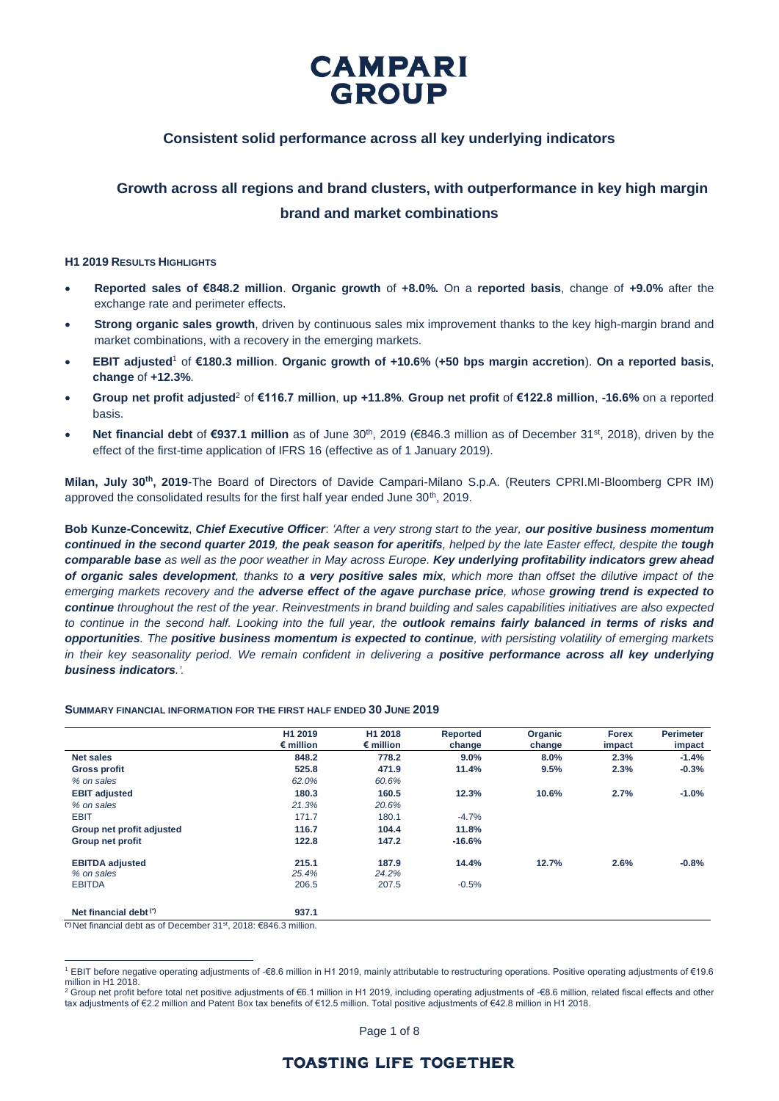

### **Consistent solid performance across all key underlying indicators**

### **Growth across all regions and brand clusters, with outperformance in key high margin brand and market combinations**

### **H1 2019 RESULTS HIGHLIGHTS**

- **Reported sales of €848.2 million**. **Organic growth** of **+8.0%.** On a **reported basis**, change of **+9.0%** after the exchange rate and perimeter effects.
- **Strong organic sales growth**, driven by continuous sales mix improvement thanks to the key high-margin brand and market combinations, with a recovery in the emerging markets.
- **EBIT adjusted**<sup>1</sup> of **€180.3 million**. **Organic growth of +10.6%** (**+50 bps margin accretion**). **On a reported basis**, **change** of **+12.3%**.
- **Group net profit adjusted**<sup>2</sup> of **€116.7 million**, **up +11.8%**. **Group net profit** of **€122.8 million**, **-16.6%** on a reported basis.
- Net financial debt of €937.1 million as of June 30<sup>th</sup>, 2019 (€846.3 million as of December 31<sup>st</sup>, 2018), driven by the effect of the first-time application of IFRS 16 (effective as of 1 January 2019).

**Milan, July 30th, 2019**-The Board of Directors of Davide Campari-Milano S.p.A. (Reuters CPRI.MI-Bloomberg CPR IM) approved the consolidated results for the first half year ended June 30<sup>th</sup>, 2019.

**Bob Kunze-Concewitz**, *Chief Executive Officer*: *'After a very strong start to the year, our positive business momentum continued in the second quarter 2019, the peak season for aperitifs, helped by the late Easter effect, despite the tough comparable base as well as the poor weather in May across Europe. Key underlying profitability indicators grew ahead of organic sales development, thanks to a very positive sales mix, which more than offset the dilutive impact of the emerging markets recovery and the adverse effect of the agave purchase price, whose growing trend is expected to continue throughout the rest of the year. Reinvestments in brand building and sales capabilities initiatives are also expected to continue in the second half. Looking into the full year, the outlook remains fairly balanced in terms of risks and opportunities. The positive business momentum is expected to continue, with persisting volatility of emerging markets*  in their key seasonality period. We remain confident in delivering a **positive performance across all key underlying** *business indicators.'.*

#### **SUMMARY FINANCIAL INFORMATION FOR THE FIRST HALF ENDED 30 JUNE 2019**

|                           | H1 2019<br>$\epsilon$ million | H1 2018<br>$\epsilon$ million | Reported<br>change | Organic<br>change | <b>Forex</b><br>impact | <b>Perimeter</b><br>impact |
|---------------------------|-------------------------------|-------------------------------|--------------------|-------------------|------------------------|----------------------------|
| <b>Net sales</b>          | 848.2                         | 778.2                         | $9.0\%$            | 8.0%              | 2.3%                   | $-1.4%$                    |
| <b>Gross profit</b>       | 525.8                         | 471.9                         | 11.4%              | 9.5%              | 2.3%                   | $-0.3%$                    |
| % on sales                | 62.0%                         | 60.6%                         |                    |                   |                        |                            |
| <b>EBIT adjusted</b>      | 180.3                         | 160.5                         | 12.3%              | 10.6%             | 2.7%                   | $-1.0%$                    |
| % on sales                | 21.3%                         | 20.6%                         |                    |                   |                        |                            |
| <b>EBIT</b>               | 171.7                         | 180.1                         | $-4.7%$            |                   |                        |                            |
| Group net profit adjusted | 116.7                         | 104.4                         | 11.8%              |                   |                        |                            |
| Group net profit          | 122.8                         | 147.2                         | $-16.6%$           |                   |                        |                            |
| <b>EBITDA</b> adjusted    | 215.1                         | 187.9                         | 14.4%              | 12.7%             | 2.6%                   | $-0.8%$                    |
| % on sales                | 25.4%                         | 24.2%                         |                    |                   |                        |                            |
| <b>EBITDA</b>             | 206.5                         | 207.5                         | $-0.5%$            |                   |                        |                            |
| Net financial debt (*)    | 937.1                         |                               |                    |                   |                        |                            |

**(\*)** Net financial debt as of December 31st , 2018: €846.3 million.

<sup>2</sup> Group net profit before total net positive adjustments of €6.1 million in H1 2019, including operating adjustments of -€8.6 million, related fiscal effects and other tax adjustments of €2.2 million and Patent Box tax benefits of €12.5 million. Total positive adjustments of €42.8 million in H1 2018.

Page 1 of 8

 $\overline{a}$ <sup>1</sup> EBIT before negative operating adjustments of -€8.6 million in H1 2019, mainly attributable to restructuring operations. Positive operating adjustments of €19.6 million in H1 2018.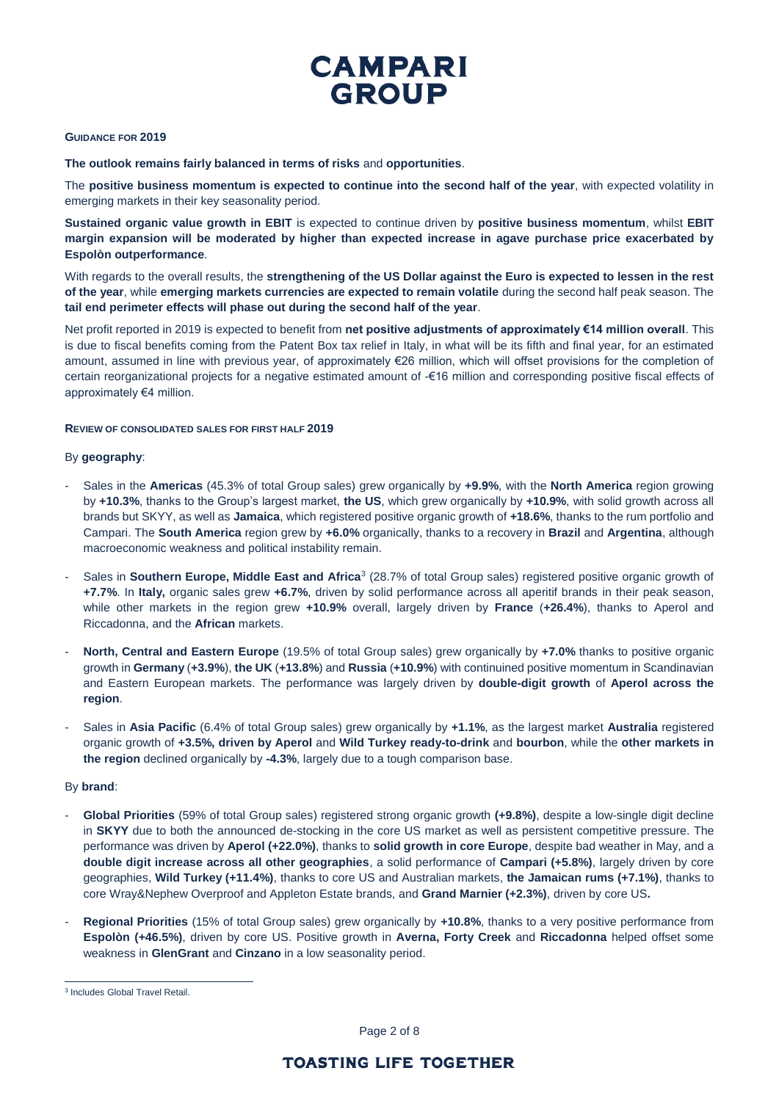

### **GUIDANCE FOR 2019**

**The outlook remains fairly balanced in terms of risks** and **opportunities**.

The **positive business momentum is expected to continue into the second half of the year**, with expected volatility in emerging markets in their key seasonality period.

**Sustained organic value growth in EBIT** is expected to continue driven by **positive business momentum**, whilst **EBIT margin expansion will be moderated by higher than expected increase in agave purchase price exacerbated by Espolòn outperformance**.

With regards to the overall results, the **strengthening of the US Dollar against the Euro is expected to lessen in the rest of the year**, while **emerging markets currencies are expected to remain volatile** during the second half peak season. The **tail end perimeter effects will phase out during the second half of the year**.

Net profit reported in 2019 is expected to benefit from **net positive adjustments of approximately €14 million overall**. This is due to fiscal benefits coming from the Patent Box tax relief in Italy, in what will be its fifth and final year, for an estimated amount, assumed in line with previous year, of approximately €26 million, which will offset provisions for the completion of certain reorganizational projects for a negative estimated amount of -€16 million and corresponding positive fiscal effects of approximately €4 million.

### **REVIEW OF CONSOLIDATED SALES FOR FIRST HALF 2019**

### By **geography**:

- Sales in the **Americas** (45.3% of total Group sales) grew organically by **+9.9%**, with the **North America** region growing by **+10.3%**, thanks to the Group's largest market, **the US**, which grew organically by **+10.9%**, with solid growth across all brands but SKYY, as well as **Jamaica**, which registered positive organic growth of **+18.6%**, thanks to the rum portfolio and Campari. The **South America** region grew by **+6.0%** organically, thanks to a recovery in **Brazil** and **Argentina**, although macroeconomic weakness and political instability remain.
- Sales in **Southern Europe, Middle East and Africa**<sup>3</sup> (28.7% of total Group sales) registered positive organic growth of **+7.7%**. In **Italy,** organic sales grew **+6.7%**, driven by solid performance across all aperitif brands in their peak season, while other markets in the region grew **+10.9%** overall, largely driven by **France** (**+26.4%**), thanks to Aperol and Riccadonna, and the **African** markets.
- **North, Central and Eastern Europe** (19.5% of total Group sales) grew organically by **+7.0%** thanks to positive organic growth in **Germany** (**+3.9%**), **the UK** (**+13.8%**) and **Russia** (**+10.9%**) with continuined positive momentum in Scandinavian and Eastern European markets. The performance was largely driven by **double-digit growth** of **Aperol across the region**.
- Sales in **Asia Pacific** (6.4% of total Group sales) grew organically by **+1.1%**, as the largest market **Australia** registered organic growth of **+3.5%, driven by Aperol** and **Wild Turkey ready-to-drink** and **bourbon**, while the **other markets in the region** declined organically by **-4.3%**, largely due to a tough comparison base.

### By **brand**:

 $\overline{a}$ 

- **Global Priorities** (59% of total Group sales) registered strong organic growth **(+9.8%)**, despite a low-single digit decline in **SKYY** due to both the announced de-stocking in the core US market as well as persistent competitive pressure. The performance was driven by **Aperol (+22.0%)**, thanks to **solid growth in core Europe**, despite bad weather in May, and a **double digit increase across all other geographies**, a solid performance of **Campari (+5.8%)**, largely driven by core geographies, **Wild Turkey (+11.4%)**, thanks to core US and Australian markets, **the Jamaican rums (+7.1%)**, thanks to core Wray&Nephew Overproof and Appleton Estate brands, and **Grand Marnier (+2.3%)**, driven by core US**.**
- **Regional Priorities** (15% of total Group sales) grew organically by **+10.8%**, thanks to a very positive performance from **Espolòn (+46.5%)**, driven by core US. Positive growth in **Averna, Forty Creek** and **Riccadonna** helped offset some weakness in **GlenGrant** and **Cinzano** in a low seasonality period.

Page 2 of 8

<sup>3</sup> Includes Global Travel Retail.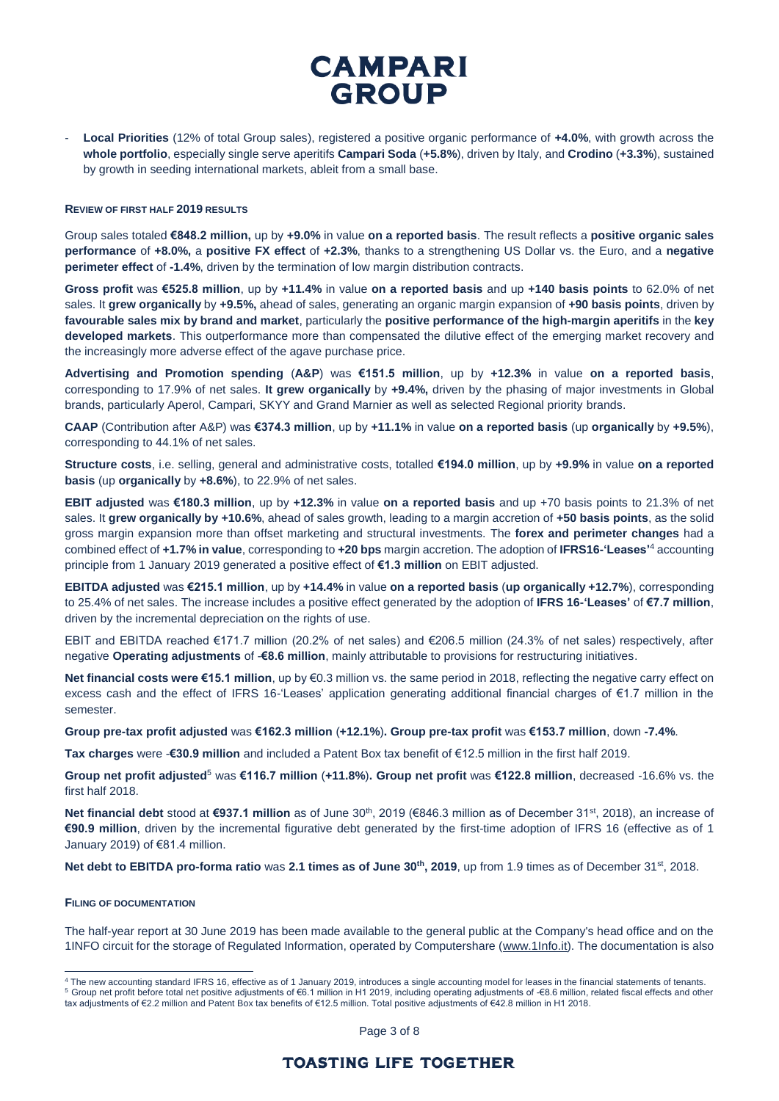- **Local Priorities** (12% of total Group sales), registered a positive organic performance of **+4.0%**, with growth across the **whole portfolio**, especially single serve aperitifs **Campari Soda** (**+5.8%**), driven by Italy, and **Crodino** (**+3.3%**), sustained by growth in seeding international markets, ableit from a small base.

#### **REVIEW OF FIRST HALF 2019 RESULTS**

Group sales totaled **€848.2 million,** up by **+9.0%** in value **on a reported basis**. The result reflects a **positive organic sales performance** of **+8.0%,** a **positive FX effect** of **+2.3%**, thanks to a strengthening US Dollar vs. the Euro, and a **negative perimeter effect** of **-1.4%**, driven by the termination of low margin distribution contracts.

**Gross profit** was **€525.8 million**, up by **+11.4%** in value **on a reported basis** and up **+140 basis points** to 62.0% of net sales. It **grew organically** by **+9.5%,** ahead of sales, generating an organic margin expansion of **+90 basis points**, driven by **favourable sales mix by brand and market**, particularly the **positive performance of the high-margin aperitifs** in the **key developed markets**. This outperformance more than compensated the dilutive effect of the emerging market recovery and the increasingly more adverse effect of the agave purchase price.

**Advertising and Promotion spending** (**A&P**) was **€151.5 million**, up by **+12.3%** in value **on a reported basis**, corresponding to 17.9% of net sales. **It grew organically** by **+9.4%,** driven by the phasing of major investments in Global brands, particularly Aperol, Campari, SKYY and Grand Marnier as well as selected Regional priority brands.

**CAAP** (Contribution after A&P) was **€374.3 million**, up by **+11.1%** in value **on a reported basis** (up **organically** by **+9.5%**), corresponding to 44.1% of net sales.

**Structure costs**, i.e. selling, general and administrative costs, totalled **€194.0 million**, up by **+9.9%** in value **on a reported basis** (up **organically** by **+8.6%**), to 22.9% of net sales.

**EBIT adjusted** was **€180.3 million**, up by **+12.3%** in value **on a reported basis** and up +70 basis points to 21.3% of net sales. It **grew organically by +10.6%**, ahead of sales growth, leading to a margin accretion of **+50 basis points**, as the solid gross margin expansion more than offset marketing and structural investments. The **forex and perimeter changes** had a combined effect of **+1.7% in value**, corresponding to **+20 bps** margin accretion. The adoption of **IFRS16-'Leases'**<sup>4</sup> accounting principle from 1 January 2019 generated a positive effect of **€1.3 million** on EBIT adjusted.

**EBITDA adjusted** was **€215.1 million**, up by **+14.4%** in value **on a reported basis** (**up organically +12.7%**), corresponding to 25.4% of net sales. The increase includes a positive effect generated by the adoption of **IFRS 16-'Leases'** of **€7.7 million**, driven by the incremental depreciation on the rights of use.

EBIT and EBITDA reached €171.7 million (20.2% of net sales) and €206.5 million (24.3% of net sales) respectively, after negative **Operating adjustments** of -**€8.6 million**, mainly attributable to provisions for restructuring initiatives.

**Net financial costs were €15.1 million**, up by €0.3 million vs. the same period in 2018, reflecting the negative carry effect on excess cash and the effect of IFRS 16-'Leases' application generating additional financial charges of €1.7 million in the semester.

**Group pre-tax profit adjusted** was **€162.3 million** (**+12.1%**)**. Group pre-tax profit** was **€153.7 million**, down **-7.4%**.

**Tax charges** were -**€30.9 million** and included a Patent Box tax benefit of €12.5 million in the first half 2019.

**Group net profit adjusted**<sup>5</sup> was **€116.7 million** (**+11.8%**)**. Group net profit** was **€122.8 million**, decreased -16.6% vs. the first half 2018.

**Net financial debt** stood at €937.1 million as of June 30<sup>th</sup>, 2019 (€846.3 million as of December 31<sup>st</sup>, 2018), an increase of **€90.9 million**, driven by the incremental figurative debt generated by the first-time adoption of IFRS 16 (effective as of 1 January 2019) of €81.4 million.

**Net debt to EBITDA pro-forma ratio** was **2.1 times as of June 30th, 2019**, up from 1.9 times as of December 31st, 2018.

#### **FILING OF DOCUMENTATION**

 $\overline{a}$ 

The half-year report at 30 June 2019 has been made available to the general public at the Company's head office and on the 1INFO circuit for the storage of Regulated Information, operated by Computershare [\(www.1Info.it\)](http://www.1info.it/). The documentation is also

Page 3 of 8

<sup>4</sup> The new accounting standard IFRS 16, effective as of 1 January 2019, introduces a single accounting model for leases in the financial statements of tenants.

<sup>5</sup> Group net profit before total net positive adjustments of €6.1 million in H1 2019, including operating adjustments of -€8.6 million, related fiscal effects and other tax adjustments of €2.2 million and Patent Box tax benefits of €12.5 million. Total positive adjustments of €42.8 million in H1 2018.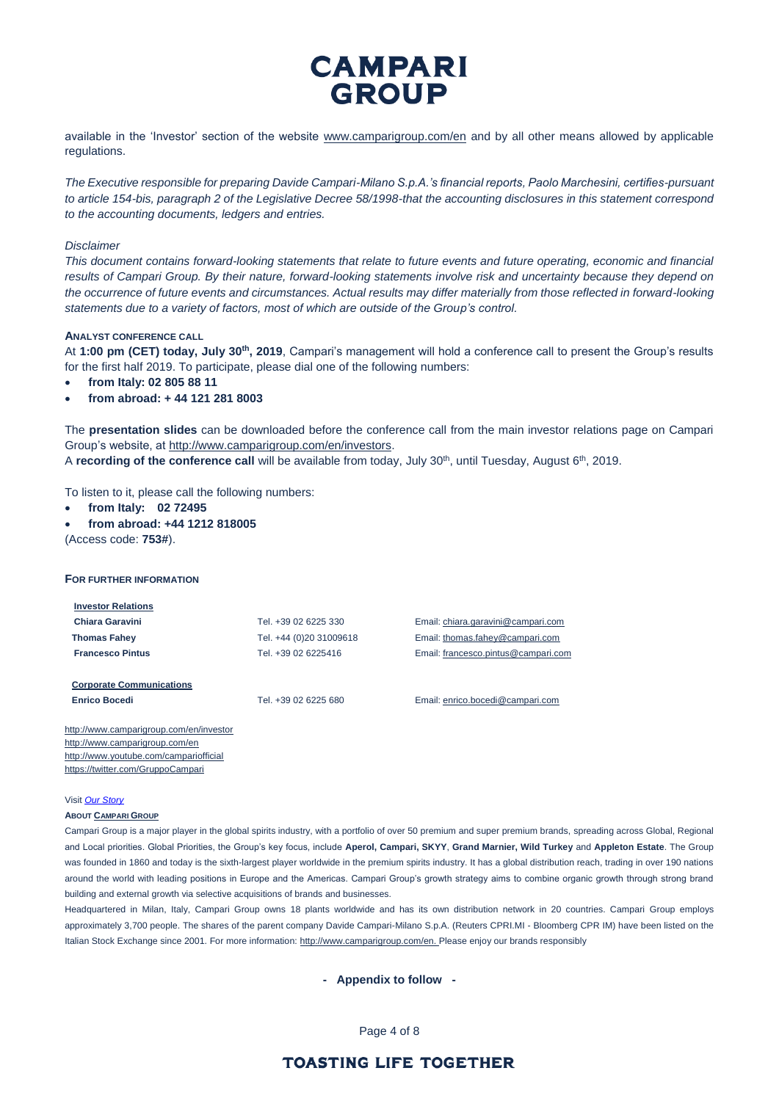available in the 'Investor' section of the website [www.camparigroup.com/en](http://www.camparigroup.com/en) and by all other means allowed by applicable regulations.

*The Executive responsible for preparing Davide Campari-Milano S.p.A.'s financial reports, Paolo Marchesini, certifies-pursuant to article 154-bis, paragraph 2 of the Legislative Decree 58/1998-that the accounting disclosures in this statement correspond to the accounting documents, ledgers and entries.* 

### *Disclaimer*

*This document contains forward-looking statements that relate to future events and future operating, economic and financial*  results of Campari Group. By their nature, forward-looking statements involve risk and uncertainty because they depend on *the occurrence of future events and circumstances. Actual results may differ materially from those reflected in forward-looking statements due to a variety of factors, most of which are outside of the Group's control.*

### **ANALYST CONFERENCE CALL**

At **1:00 pm (CET) today, July 30th, 2019**, Campari's management will hold a conference call to present the Group's results for the first half 2019. To participate, please dial one of the following numbers:

- **from Italy: 02 805 88 11**
- **from abroad: + 44 121 281 8003**

The **presentation slides** can be downloaded before the conference call from the main investor relations page on Campari Group's website, at [http://www.camparigroup.com/en/investors.](http://www.camparigroup.com/en/investors)

A **recording of the conference call** will be available from today, July 30<sup>th</sup>, until Tuesday, August 6<sup>th</sup>, 2019.

To listen to it, please call the following numbers:

- **from Italy: 02 72495**
- **from abroad: +44 1212 818005** (Access code: **753#**).

### **FOR FURTHER INFORMATION**

http://www.camparigroup.com/en/investor http://www.camparigroup.com/en <http://www.youtube.com/campariofficial> <https://twitter.com/GruppoCampari>

| <b>Investor Relations</b>       |                         |                                     |
|---------------------------------|-------------------------|-------------------------------------|
| Chiara Garavini                 | Tel. +39 02 6225 330    | Email: chiara.garavini@campari.com  |
| <b>Thomas Fahey</b>             | Tel. +44 (0)20 31009618 | Email: thomas.fahey@campari.com     |
| <b>Francesco Pintus</b>         | Tel. +39 02 6225416     | Email: francesco.pintus@campari.com |
|                                 |                         |                                     |
| <b>Corporate Communications</b> |                         |                                     |
| <b>Enrico Bocedi</b>            | Tel. +39 02 6225 680    | Email: enrico.bocedi@campari.com    |
|                                 |                         |                                     |

Visit *[Our Story](https://youtu.be/ilNVsU9Cigo)*

#### **ABOUT C[AMPARI](http://www.camparigroup.com/en/index.shtml) GROUP**

Campari Group is a major player in the global spirits industry, with a portfolio of over 50 premium and super premium brands, spreading across Global, Regional and Local priorities. Global Priorities, the Group's key focus, include **Aperol, Campari, SKYY**, **Grand Marnier, Wild Turkey** and **Appleton Estate**. The Group was founded in 1860 and today is the sixth-largest player worldwide in the premium spirits industry. It has a global distribution reach, trading in over 190 nations around the world with leading positions in Europe and the Americas. Campari Group's growth strategy aims to combine organic growth through strong brand building and external growth via selective acquisitions of brands and businesses.

Headquartered in Milan, Italy, Campari Group owns 18 plants worldwide and has its own distribution network in 20 countries. Campari Group employs approximately 3,700 people. The shares of the parent company Davide Campari-Milano S.p.A. (Reuters CPRI.MI - Bloomberg CPR IM) have been listed on the Italian Stock Exchange since 2001. For more information[: http://www.camparigroup.com/en.](http://www.camparigroup.com/en) Please enjoy our brands responsibly

**- Appendix to follow -**

Page 4 of 8

### **TOASTING LIFE TOGETHER**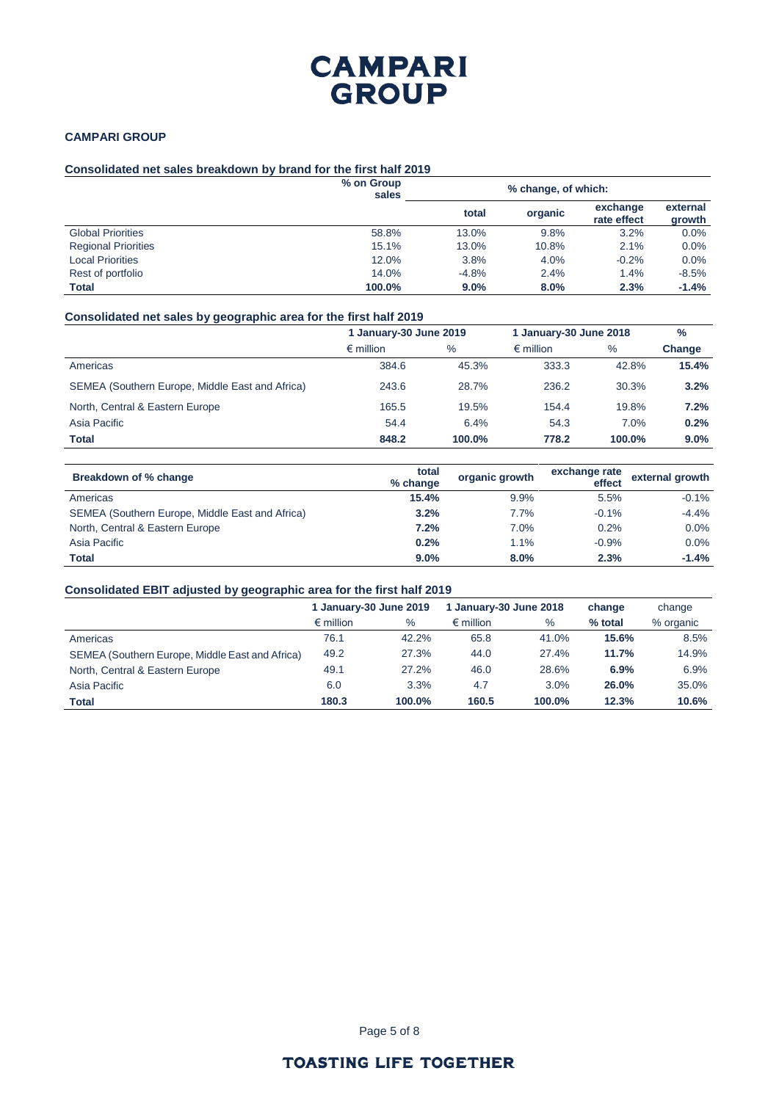### **CAMPARI GROUP**

### **Consolidated net sales breakdown by brand for the first half 2019**

|                            | % on Group<br>sales |         | % change, of which: |                         |                    |
|----------------------------|---------------------|---------|---------------------|-------------------------|--------------------|
|                            |                     | total   | organic             | exchange<br>rate effect | external<br>growth |
| <b>Global Priorities</b>   | 58.8%               | 13.0%   | 9.8%                | 3.2%                    | 0.0%               |
| <b>Regional Priorities</b> | 15.1%               | 13.0%   | 10.8%               | 2.1%                    | $0.0\%$            |
| <b>Local Priorities</b>    | 12.0%               | 3.8%    | 4.0%                | $-0.2%$                 | 0.0%               |
| Rest of portfolio          | 14.0%               | $-4.8%$ | 2.4%                | 1.4%                    | $-8.5%$            |
| <b>Total</b>               | 100.0%              | 9.0%    | 8.0%                | 2.3%                    | $-1.4%$            |

### **Consolidated net sales by geographic area for the first half 2019**

|                                                 | 1 January-30 June 2019 |        | 1 January-30 June 2018 |        | $\frac{0}{0}$ |
|-------------------------------------------------|------------------------|--------|------------------------|--------|---------------|
|                                                 | $\epsilon$ million     | $\%$   | $\epsilon$ million     | $\%$   | Change        |
| Americas                                        | 384.6                  | 45.3%  | 333.3                  | 42.8%  | 15.4%         |
| SEMEA (Southern Europe, Middle East and Africa) | 243.6                  | 28.7%  | 236.2                  | 30.3%  | 3.2%          |
| North, Central & Eastern Europe                 | 165.5                  | 19.5%  | 154.4                  | 19.8%  | 7.2%          |
| Asia Pacific                                    | 54.4                   | 6.4%   | 54.3                   | 7.0%   | 0.2%          |
| <b>Total</b>                                    | 848.2                  | 100.0% | 778.2                  | 100.0% | 9.0%          |

| Breakdown of % change                           | total<br>% change | organic growth | exchange rate<br>effect | external growth |
|-------------------------------------------------|-------------------|----------------|-------------------------|-----------------|
| Americas                                        | 15.4%             | 9.9%           | 5.5%                    | $-0.1%$         |
| SEMEA (Southern Europe, Middle East and Africa) | 3.2%              | 7.7%           | $-0.1%$                 | $-4.4%$         |
| North, Central & Eastern Europe                 | 7.2%              | 7.0%           | 0.2%                    | 0.0%            |
| Asia Pacific                                    | 0.2%              | 1.1%           | $-0.9%$                 | 0.0%            |
| <b>Total</b>                                    | 9.0%              | 8.0%           | 2.3%                    | $-1.4%$         |

### **Consolidated EBIT adjusted by geographic area for the first half 2019**

|                                                 | 1 January-30 June 2019 |        | 1 January-30 June 2018 |        | change  | change    |
|-------------------------------------------------|------------------------|--------|------------------------|--------|---------|-----------|
|                                                 | $\epsilon$ million     | $\%$   | $\epsilon$ million     | $\%$   | % total | % organic |
| Americas                                        | 76.1                   | 42.2%  | 65.8                   | 41.0%  | 15.6%   | 8.5%      |
| SEMEA (Southern Europe, Middle East and Africa) | 49.2                   | 27.3%  | 44.0                   | 27.4%  | 11.7%   | 14.9%     |
| North, Central & Eastern Europe                 | 49.1                   | 27.2%  | 46.0                   | 28.6%  | 6.9%    | 6.9%      |
| Asia Pacific                                    | 6.0                    | 3.3%   | 4.7                    | 3.0%   | 26.0%   | 35.0%     |
| <b>Total</b>                                    | 180.3                  | 100.0% | 160.5                  | 100.0% | 12.3%   | 10.6%     |

Page 5 of 8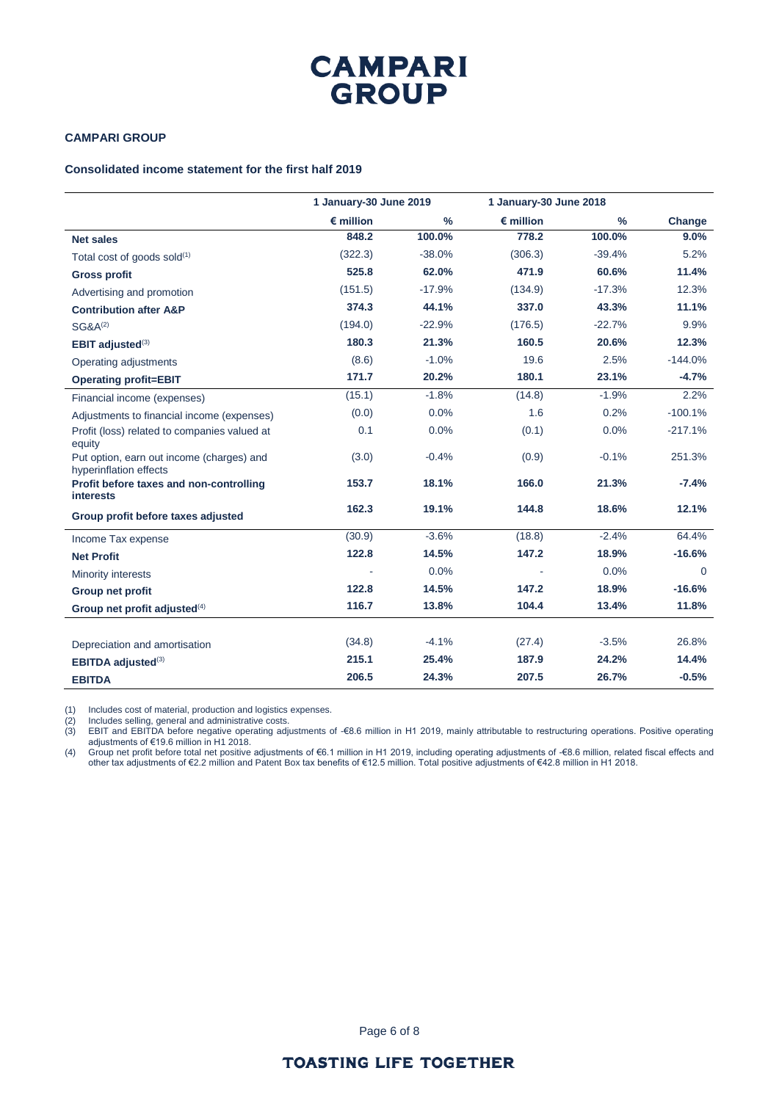### **CAMPARI GROUP**

### **Consolidated income statement for the first half 2019**

|                                                                     | 1 January-30 June 2019 |               | 1 January-30 June 2018 |          |           |
|---------------------------------------------------------------------|------------------------|---------------|------------------------|----------|-----------|
|                                                                     | $\epsilon$ million     | $\frac{9}{6}$ | $\epsilon$ million     | $\%$     | Change    |
| <b>Net sales</b>                                                    | 848.2                  | 100.0%        | 778.2                  | 100.0%   | 9.0%      |
| Total cost of goods sold $(1)$                                      | (322.3)                | $-38.0%$      | (306.3)                | $-39.4%$ | 5.2%      |
| <b>Gross profit</b>                                                 | 525.8                  | 62.0%         | 471.9                  | 60.6%    | 11.4%     |
| Advertising and promotion                                           | (151.5)                | $-17.9%$      | (134.9)                | $-17.3%$ | 12.3%     |
| <b>Contribution after A&amp;P</b>                                   | 374.3                  | 44.1%         | 337.0                  | 43.3%    | 11.1%     |
| $SG&A^{(2)}$                                                        | (194.0)                | $-22.9%$      | (176.5)                | $-22.7%$ | 9.9%      |
| <b>EBIT</b> adjusted $(3)$                                          | 180.3                  | 21.3%         | 160.5                  | 20.6%    | 12.3%     |
| Operating adjustments                                               | (8.6)                  | $-1.0%$       | 19.6                   | 2.5%     | $-144.0%$ |
| <b>Operating profit=EBIT</b>                                        | 171.7                  | 20.2%         | 180.1                  | 23.1%    | $-4.7%$   |
| Financial income (expenses)                                         | (15.1)                 | $-1.8%$       | (14.8)                 | $-1.9%$  | 2.2%      |
| Adjustments to financial income (expenses)                          | (0.0)                  | 0.0%          | 1.6                    | 0.2%     | $-100.1%$ |
| Profit (loss) related to companies valued at<br>equity              | 0.1                    | 0.0%          | (0.1)                  | 0.0%     | $-217.1%$ |
| Put option, earn out income (charges) and<br>hyperinflation effects | (3.0)                  | $-0.4%$       | (0.9)                  | $-0.1%$  | 251.3%    |
| Profit before taxes and non-controlling<br><i>interests</i>         | 153.7                  | 18.1%         | 166.0                  | 21.3%    | $-7.4%$   |
| Group profit before taxes adjusted                                  | 162.3                  | 19.1%         | 144.8                  | 18.6%    | 12.1%     |
| Income Tax expense                                                  | (30.9)                 | $-3.6%$       | (18.8)                 | $-2.4%$  | 64.4%     |
| <b>Net Profit</b>                                                   | 122.8                  | 14.5%         | 147.2                  | 18.9%    | $-16.6%$  |
| Minority interests                                                  |                        | 0.0%          |                        | 0.0%     | $\Omega$  |
| Group net profit                                                    | 122.8                  | 14.5%         | 147.2                  | 18.9%    | $-16.6%$  |
| Group net profit adjusted $(4)$                                     | 116.7                  | 13.8%         | 104.4                  | 13.4%    | 11.8%     |
|                                                                     |                        |               |                        |          |           |
| Depreciation and amortisation                                       | (34.8)                 | $-4.1%$       | (27.4)                 | $-3.5%$  | 26.8%     |
| EBITDA adjusted <sup>(3)</sup>                                      | 215.1                  | 25.4%         | 187.9                  | 24.2%    | 14.4%     |
| <b>EBITDA</b>                                                       | 206.5                  | 24.3%         | 207.5                  | 26.7%    | $-0.5%$   |

(1) Includes cost of material, production and logistics expenses.

(2) Includes selling, general and administrative costs.

(3) EBIT and EBITDA before negative operating adjustments of -€8.6 million in H1 2019, mainly attributable to restructuring operations. Positive operating adjustments of €19.6 million in H1 2018.

(4) Group net profit before total net positive adjustments of €6.1 million in H1 2019, including operating adjustments of -€8.6 million, related fiscal effects and other tax adjustments of €2.2 million and Patent Box tax benefits of €12.5 million. Total positive adjustments of €42.8 million in H1 2018.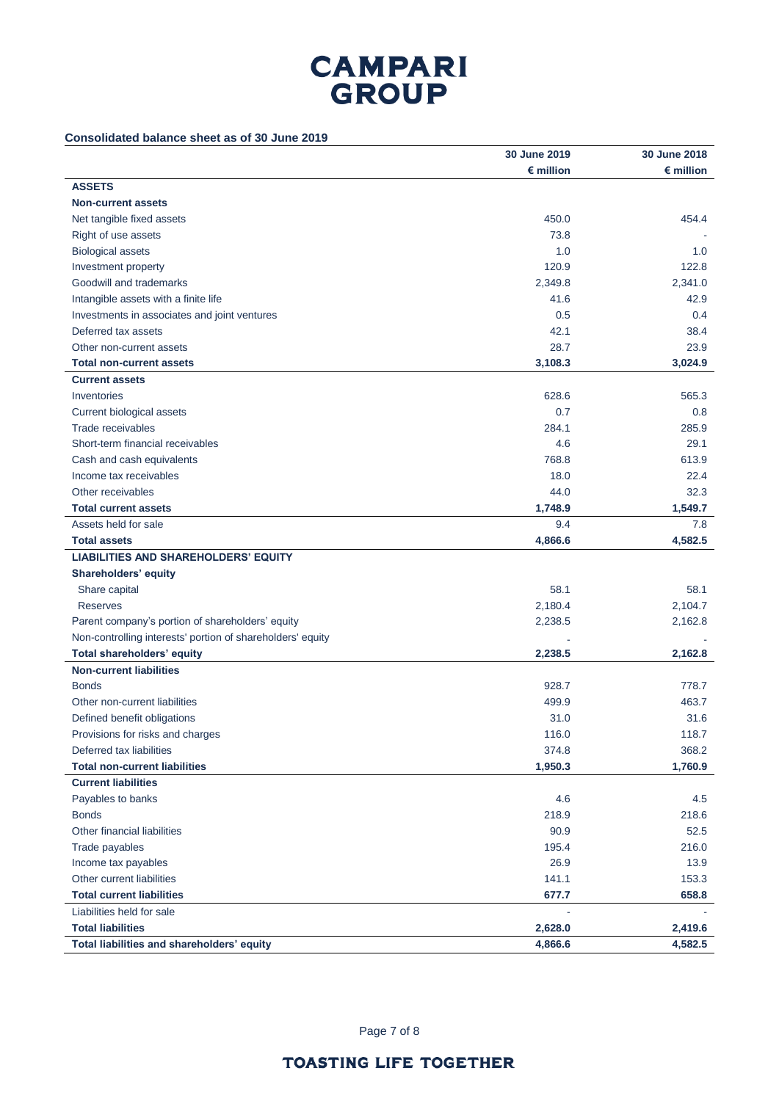### **Consolidated balance sheet as of 30 June 2019**

|                                                            | 30 June 2019       | 30 June 2018       |
|------------------------------------------------------------|--------------------|--------------------|
|                                                            | $\epsilon$ million | $\epsilon$ million |
| <b>ASSETS</b>                                              |                    |                    |
| <b>Non-current assets</b>                                  |                    |                    |
| Net tangible fixed assets                                  | 450.0              | 454.4              |
| Right of use assets                                        | 73.8               |                    |
| <b>Biological assets</b>                                   | 1.0                | 1.0                |
| Investment property                                        | 120.9              | 122.8              |
| Goodwill and trademarks                                    | 2,349.8            | 2,341.0            |
| Intangible assets with a finite life                       | 41.6               | 42.9               |
| Investments in associates and joint ventures               | 0.5                | 0.4                |
| Deferred tax assets                                        | 42.1               | 38.4               |
| Other non-current assets                                   | 28.7               | 23.9               |
| <b>Total non-current assets</b>                            | 3,108.3            | 3,024.9            |
| <b>Current assets</b>                                      |                    |                    |
| Inventories                                                | 628.6              | 565.3              |
| Current biological assets                                  | 0.7                | 0.8                |
| Trade receivables                                          | 284.1              | 285.9              |
| Short-term financial receivables                           | 4.6                | 29.1               |
| Cash and cash equivalents                                  | 768.8              | 613.9              |
| Income tax receivables                                     | 18.0               | 22.4               |
| Other receivables                                          | 44.0               | 32.3               |
| <b>Total current assets</b>                                | 1,748.9            | 1,549.7            |
| Assets held for sale                                       | 9.4                | 7.8                |
| <b>Total assets</b>                                        | 4,866.6            | 4,582.5            |
| <b>LIABILITIES AND SHAREHOLDERS' EQUITY</b>                |                    |                    |
| Shareholders' equity                                       |                    |                    |
| Share capital                                              | 58.1               | 58.1               |
| <b>Reserves</b>                                            | 2,180.4            | 2,104.7            |
| Parent company's portion of shareholders' equity           | 2,238.5            | 2,162.8            |
| Non-controlling interests' portion of shareholders' equity |                    |                    |
| <b>Total shareholders' equity</b>                          | 2,238.5            | 2,162.8            |
| <b>Non-current liabilities</b>                             |                    |                    |
| <b>Bonds</b>                                               | 928.7              | 778.7              |
| Other non-current liabilities                              | 499.9              | 463.7              |
| Defined benefit obligations                                | 31.0               | 31.6               |
| Provisions for risks and charges                           | 116.0              | 118.7              |
| Deferred tax liabilities                                   | 374.8              | 368.2              |
| <b>Total non-current liabilities</b>                       | 1,950.3            | 1,760.9            |
| <b>Current liabilities</b>                                 |                    |                    |
| Payables to banks                                          | 4.6                | 4.5                |
| <b>Bonds</b>                                               | 218.9              | 218.6              |
| Other financial liabilities                                | 90.9               | 52.5               |
| Trade payables                                             | 195.4              | 216.0              |
| Income tax payables                                        | 26.9               | 13.9               |
| Other current liabilities                                  | 141.1              | 153.3              |
| <b>Total current liabilities</b>                           | 677.7              | 658.8              |
| Liabilities held for sale                                  |                    |                    |
| <b>Total liabilities</b>                                   | 2,628.0            | 2,419.6            |
| Total liabilities and shareholders' equity                 | 4,866.6            | 4,582.5            |

Page 7 of 8

### **TOASTING LIFE TOGETHER**